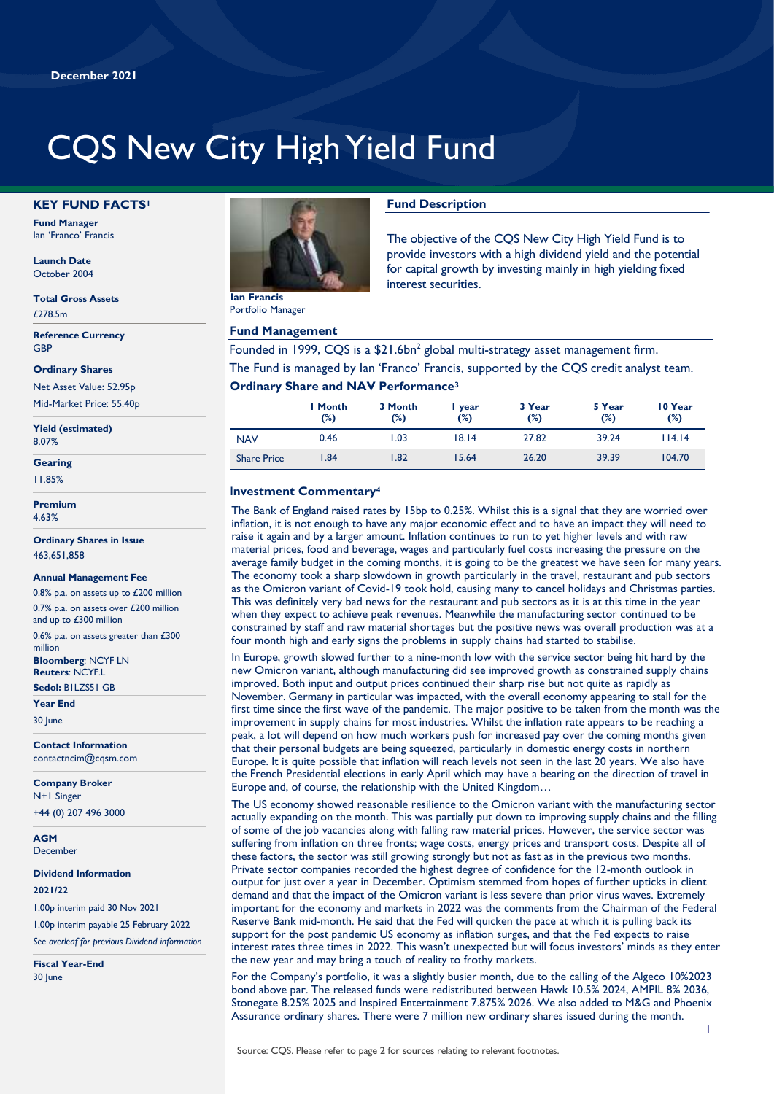# CQS New City High Yield Fund

#### **KEY FUND FACTS<sup>1</sup>**

**Fund Manager** Ian 'Franco' Francis

**Launch Date** October 2004

**Total Gross Assets** £278.5m

**Reference Currency GRF** 

**Ordinary Shares**

Net Asset Value: 52.95p Mid-Market Price: 55.40p

**Yield (estimated)** 8.07%

**Gearing**

11.85%

**Premium** 4.63%

**Ordinary Shares in Issue** 463,651,858

#### **Annual Management Fee**

0.8% p.a. on assets up to £200 million 0.7% p.a. on assets over £200 million and up to £300 million

0.6% p.a. on assets greater than £300 million

**Bloomberg**: NCYF LN **Reuters**: NCYF.L

**Sedol:** B1LZS51 GB **Year End**

30 lune

**Contact Information** contactncim@cqsm.com

**Company Broker**

N+1 Singer +44 (0) 207 496 3000

**AGM December** 

**Dividend Information**

#### **2021/22**

1.00p interim paid 30 Nov 2021

1.00p interim payable 25 February 2022 *See overleaf for previous Dividend information*

**Fiscal Year-End** 30 June



Portfolio Manager

#### **Fund Management**

# **Fund Description**

The objective of the CQS New City High Yield Fund is to provide investors with a high dividend yield and the potential for capital growth by investing mainly in high yielding fixed interest securities.

Founded in 1999, CQS is a  $$21.6$ bn<sup>2</sup> global multi-strategy asset management firm. The Fund is managed by Ian 'Franco' Francis, supported by the CQS credit analyst team.

# **Ordinary Share and NAV Performance<sup>3</sup>**

|                    | I Month<br>(%) | 3 Month<br>(%) | year<br>(%) | 3 Year<br>$(\%)$ | 5 Year<br>(%) | 10 Year<br>(%) |
|--------------------|----------------|----------------|-------------|------------------|---------------|----------------|
| <b>NAV</b>         | 0.46           | .03            | 18.14       | 27.82            | 39.24         | 114.14         |
| <b>Share Price</b> | .84            | .82            | 15.64       | 26.20            | 39.39         | 104.70         |

# **Investment Commentary<sup>4</sup>**

The Bank of England raised rates by 15bp to 0.25%. Whilst this is a signal that they are worried over inflation, it is not enough to have any major economic effect and to have an impact they will need to raise it again and by a larger amount. Inflation continues to run to yet higher levels and with raw material prices, food and beverage, wages and particularly fuel costs increasing the pressure on the average family budget in the coming months, it is going to be the greatest we have seen for many years. The economy took a sharp slowdown in growth particularly in the travel, restaurant and pub sectors as the Omicron variant of Covid-19 took hold, causing many to cancel holidays and Christmas parties. This was definitely very bad news for the restaurant and pub sectors as it is at this time in the year when they expect to achieve peak revenues. Meanwhile the manufacturing sector continued to be constrained by staff and raw material shortages but the positive news was overall production was at a four month high and early signs the problems in supply chains had started to stabilise.

In Europe, growth slowed further to a nine-month low with the service sector being hit hard by the new Omicron variant, although manufacturing did see improved growth as constrained supply chains improved. Both input and output prices continued their sharp rise but not quite as rapidly as November. Germany in particular was impacted, with the overall economy appearing to stall for the first time since the first wave of the pandemic. The major positive to be taken from the month was the improvement in supply chains for most industries. Whilst the inflation rate appears to be reaching a peak, a lot will depend on how much workers push for increased pay over the coming months given that their personal budgets are being squeezed, particularly in domestic energy costs in northern Europe. It is quite possible that inflation will reach levels not seen in the last 20 years. We also have the French Presidential elections in early April which may have a bearing on the direction of travel in Europe and, of course, the relationship with the United Kingdom…

The US economy showed reasonable resilience to the Omicron variant with the manufacturing sector actually expanding on the month. This was partially put down to improving supply chains and the filling of some of the job vacancies along with falling raw material prices. However, the service sector was suffering from inflation on three fronts; wage costs, energy prices and transport costs. Despite all of these factors, the sector was still growing strongly but not as fast as in the previous two months. Private sector companies recorded the highest degree of confidence for the 12-month outlook in output for just over a year in December. Optimism stemmed from hopes of further upticks in client demand and that the impact of the Omicron variant is less severe than prior virus waves. Extremely important for the economy and markets in 2022 was the comments from the Chairman of the Federal Reserve Bank mid-month. He said that the Fed will quicken the pace at which it is pulling back its support for the post pandemic US economy as inflation surges, and that the Fed expects to raise interest rates three times in 2022. This wasn't unexpected but will focus investors' minds as they enter the new year and may bring a touch of reality to frothy markets.

For the Company's portfolio, it was a slightly busier month, due to the calling of the Algeco 10%2023 bond above par. The released funds were redistributed between Hawk 10.5% 2024, AMPIL 8% 2036, Stonegate 8.25% 2025 and Inspired Entertainment 7.875% 2026. We also added to M&G and Phoenix Assurance ordinary shares. There were 7 million new ordinary shares issued during the month.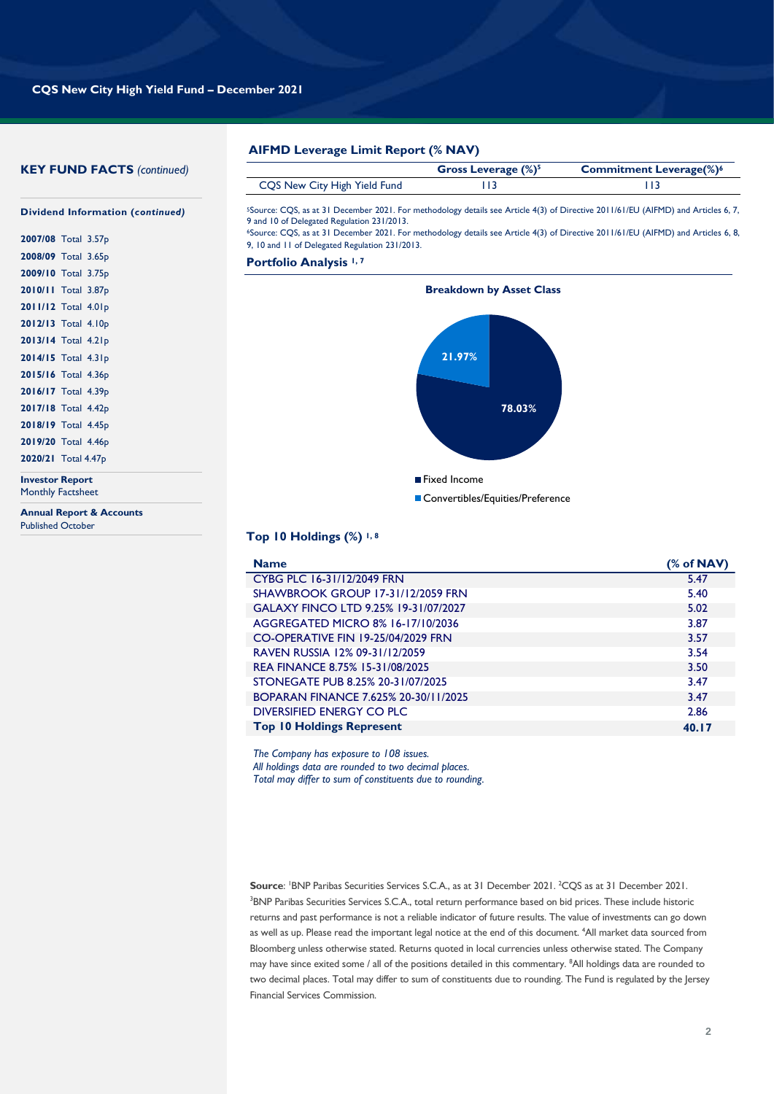# **KEY FUND FACTS** *(continued)*

|                              | Gross Leverage $(\%)^5$ | <b>Commitment Leverage(%)<sup>6</sup></b> |
|------------------------------|-------------------------|-------------------------------------------|
| CQS New City High Yield Fund |                         |                                           |

<sup>5</sup>Source: CQS, as at 31 December 2021. For methodology details see Article 4(3) of Directive 2011/61/EU (AIFMD) and Articles 6, 7, 9 and 10 of Delegated Regulation 231/2013.

<sup>6</sup>Source: CQS, as at 31 December 2021. For methodology details see Article 4(3) of Directive 2011/61/EU (AIFMD) and Articles 6, 8, 9, 10 and 11 of Delegated Regulation 231/2013.

**Portfolio Analysis 1, 7**



### **Top 10 Holdings (%) 1, 8**

| <b>Name</b>                          | (% of NAV) |
|--------------------------------------|------------|
| CYBG PLC 16-31/12/2049 FRN           | 5.47       |
| SHAWBROOK GROUP 17-31/12/2059 FRN    | 5.40       |
| GALAXY FINCO LTD 9.25% 19-31/07/2027 | 5.02       |
| AGGREGATED MICRO 8% 16-17/10/2036    | 3.87       |
| CO-OPERATIVE FIN 19-25/04/2029 FRN   | 3.57       |
| RAVEN RUSSIA 12% 09-31/12/2059       | 3.54       |
| REA FINANCE 8.75% 15-31/08/2025      | 3.50       |
| STONEGATE PUB 8.25% 20-31/07/2025    | 3.47       |
| BOPARAN FINANCE 7.625% 20-30/11/2025 | 3.47       |
| DIVERSIFIED ENERGY CO PLC.           | 2.86       |
| <b>Top 10 Holdings Represent</b>     | 40.17      |

*The Company has exposure to 108 issues. All holdings data are rounded to two decimal places. Total may differ to sum of constituents due to rounding.*

Source: <sup>I</sup>BNP Paribas Securities Services S.C.A., as at 31 December 2021. <sup>2</sup>CQS as at 31 December 2021. <sup>3</sup>BNP Paribas Securities Services S.C.A., total return performance based on bid prices. These include historic returns and past performance is not a reliable indicator of future results. The value of investments can go down as well as up. Please read the important legal notice at the end of this document. <sup>4</sup>All market data sourced from Bloomberg unless otherwise stated. Returns quoted in local currencies unless otherwise stated. The Company may have since exited some / all of the positions detailed in this commentary. <sup>8</sup>All holdings data are rounded to two decimal places. Total may differ to sum of constituents due to rounding. The Fund is regulated by the Jersey Financial Services Commission.

# **Dividend Information (***continued)*

| 2007/08 Total 3.57p |  |
|---------------------|--|
| 2008/09 Total 3.65p |  |
| 2009/10 Total 3.75p |  |
| 2010/11 Total 3.87p |  |
| 2011/12 Total 4.01p |  |
| 2012/13 Total 4.10p |  |
| 2013/14 Total 4.21p |  |
| 2014/15 Total 4.31p |  |
| 2015/16 Total 4.36p |  |
| 2016/17 Total 4.39p |  |
| 2017/18 Total 4.42p |  |
| 2018/19 Total 4.45p |  |
| 2019/20 Total 4.46p |  |
| 2020/21 Total 4.47p |  |
|                     |  |

**Investor Report** Monthly Factsheet

**Annual Report & Accounts** Published October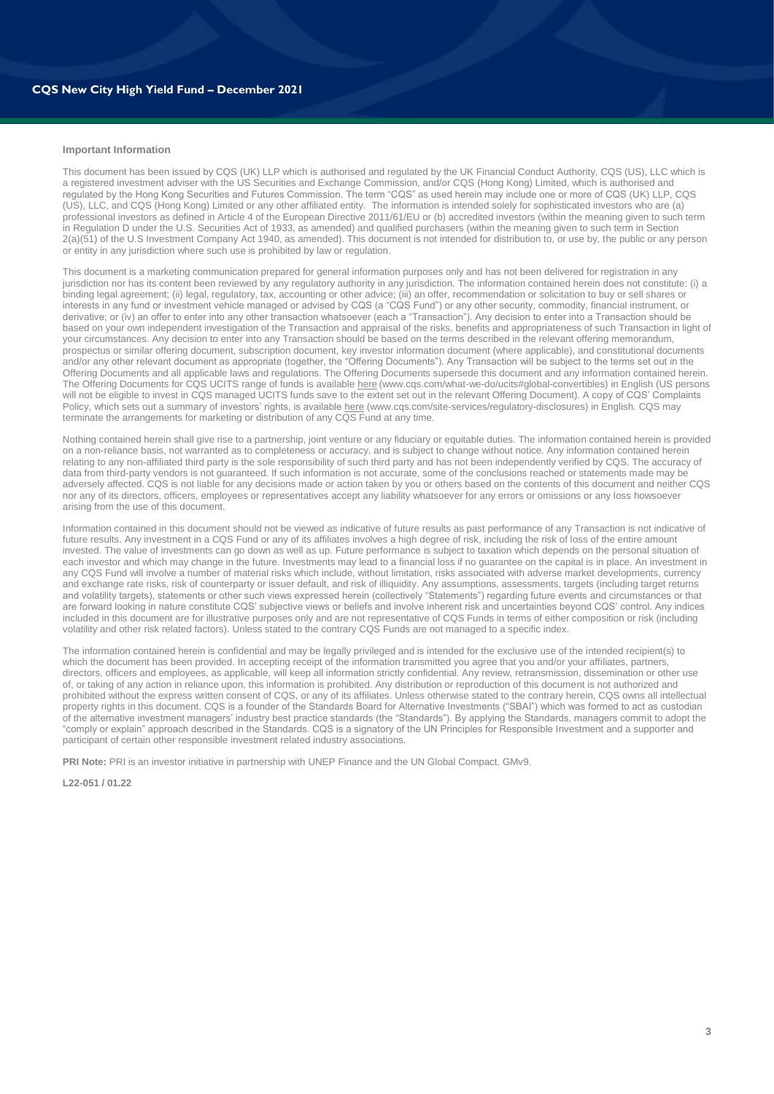#### **Important Information**

This document has been issued by CQS (UK) LLP which is authorised and regulated by the UK Financial Conduct Authority, CQS (US), LLC which is a registered investment adviser with the US Securities and Exchange Commission, and/or CQS (Hong Kong) Limited, which is authorised and regulated by the Hong Kong Securities and Futures Commission. The term "CQS" as used herein may include one or more of CQS (UK) LLP, CQS (US), LLC, and CQS (Hong Kong) Limited or any other affiliated entity. The information is intended solely for sophisticated investors who are (a) professional investors as defined in Article 4 of the European Directive 2011/61/EU or (b) accredited investors (within the meaning given to such term in Regulation D under the U.S. Securities Act of 1933, as amended) and qualified purchasers (within the meaning given to such term in Section 2(a)(51) of the U.S Investment Company Act 1940, as amended). This document is not intended for distribution to, or use by, the public or any person or entity in any jurisdiction where such use is prohibited by law or regulation.

This document is a marketing communication prepared for general information purposes only and has not been delivered for registration in any jurisdiction nor has its content been reviewed by any regulatory authority in any jurisdiction. The information contained herein does not constitute: (i) a binding legal agreement; (ii) legal, regulatory, tax, accounting or other advice; (iii) an offer, recommendation or solicitation to buy or sell shares or interests in any fund or investment vehicle managed or advised by CQS (a "CQS Fund") or any other security, commodity, financial instrument, or derivative; or (iv) an offer to enter into any other transaction whatsoever (each a "Transaction"). Any decision to enter into a Transaction should be based on your own independent investigation of the Transaction and appraisal of the risks, benefits and appropriateness of such Transaction in light of your circumstances. Any decision to enter into any Transaction should be based on the terms described in the relevant offering memorandum, prospectus or similar offering document, subscription document, key investor information document (where applicable), and constitutional documents and/or any other relevant document as appropriate (together, the "Offering Documents"). Any Transaction will be subject to the terms set out in the Offering Documents and all applicable laws and regulations. The Offering Documents supersede this document and any information contained herein. The Offering Documents for CQS UCITS range of funds is availabl[e here](https://www.cqs.com/what-we-do/ucits) (www.cqs.com/what-we-do/ucits#global-convertibles) in English (US persons will not be eligible to invest in CQS managed UCITS funds save to the extent set out in the relevant Offering Document). A copy of CQS' Complaints Policy, which sets out a summary of investors' rights, is availabl[e here](https://www.cqs.com/site-services/regulatory-disclosures) (www.cqs.com/site-services/regulatory-disclosures) in English. CQS may terminate the arrangements for marketing or distribution of any COS Fund at any time.

Nothing contained herein shall give rise to a partnership, joint venture or any fiduciary or equitable duties. The information contained herein is provided on a non-reliance basis, not warranted as to completeness or accuracy, and is subject to change without notice. Any information contained herein relating to any non-affiliated third party is the sole responsibility of such third party and has not been independently verified by CQS. The accuracy of data from third-party vendors is not guaranteed. If such information is not accurate, some of the conclusions reached or statements made may be adversely affected. CQS is not liable for any decisions made or action taken by you or others based on the contents of this document and neither CQS nor any of its directors, officers, employees or representatives accept any liability whatsoever for any errors or omissions or any loss howsoever arising from the use of this document.

Information contained in this document should not be viewed as indicative of future results as past performance of any Transaction is not indicative of future results. Any investment in a CQS Fund or any of its affiliates involves a high degree of risk, including the risk of loss of the entire amount invested. The value of investments can go down as well as up. Future performance is subject to taxation which depends on the personal situation of each investor and which may change in the future. Investments may lead to a financial loss if no guarantee on the capital is in place. An investment in any CQS Fund will involve a number of material risks which include, without limitation, risks associated with adverse market developments, currency and exchange rate risks, risk of counterparty or issuer default, and risk of illiquidity. Any assumptions, assessments, targets (including target returns and volatility targets), statements or other such views expressed herein (collectively "Statements") regarding future events and circumstances or that are forward looking in nature constitute CQS' subjective views or beliefs and involve inherent risk and uncertainties beyond CQS' control. Any indices included in this document are for illustrative purposes only and are not representative of CQS Funds in terms of either composition or risk (including volatility and other risk related factors). Unless stated to the contrary CQS Funds are not managed to a specific index.

The information contained herein is confidential and may be legally privileged and is intended for the exclusive use of the intended recipient(s) to which the document has been provided. In accepting receipt of the information transmitted you agree that you and/or your affiliates, partners, directors, officers and employees, as applicable, will keep all information strictly confidential. Any review, retransmission, dissemination or other use of, or taking of any action in reliance upon, this information is prohibited. Any distribution or reproduction of this document is not authorized and prohibited without the express written consent of CQS, or any of its affiliates. Unless otherwise stated to the contrary herein, CQS owns all intellectual property rights in this document. CQS is a founder of the Standards Board for Alternative Investments ("SBAI") which was formed to act as custodian of the alternative investment managers' industry best practice standards (the "Standards"). By applying the Standards, managers commit to adopt the "comply or explain" approach described in the Standards. CQS is a signatory of the UN Principles for Responsible Investment and a supporter and participant of certain other responsible investment related industry associations.

**PRI Note:** PRI is an investor initiative in partnership with UNEP Finance and the UN Global Compact. GMv9.

**L22-051 / 01.22**